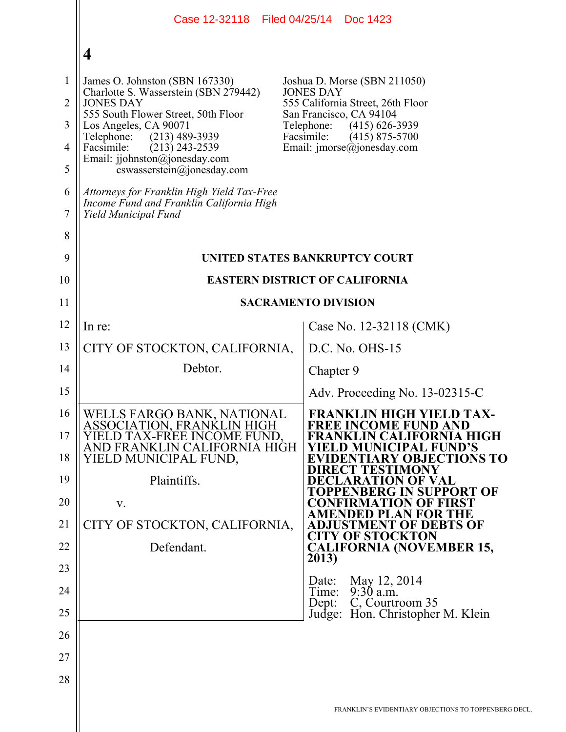|                                                    | Case 12-32118 Filed 04/25/14 Doc 1423                                                                                                                                                                                                                                                                                                                                                    |                                                                                                                                                                                                                                     |
|----------------------------------------------------|------------------------------------------------------------------------------------------------------------------------------------------------------------------------------------------------------------------------------------------------------------------------------------------------------------------------------------------------------------------------------------------|-------------------------------------------------------------------------------------------------------------------------------------------------------------------------------------------------------------------------------------|
|                                                    | $\overline{\mathbf{4}}$                                                                                                                                                                                                                                                                                                                                                                  |                                                                                                                                                                                                                                     |
| $\mathbf{1}$<br>$\overline{2}$<br>3<br>4<br>5<br>6 | James O. Johnston (SBN 167330)<br>Charlotte S. Wasserstein (SBN 279442)<br><b>JONES DAY</b><br>555 South Flower Street, 50th Floor<br>Los Angeles, CA 90071<br>$(213)$ 489-3939<br>Telephone:<br>Facsimile:<br>$(213)$ 243-2539<br>Email: jjohnston@jonesday.com<br>cswasserstein@jonesday.com<br>Attorneys for Franklin High Yield Tax-Free<br>Income Fund and Franklin California High | Joshua D. Morse (SBN 211050)<br><b>JONES DAY</b><br>555 California Street, 26th Floor<br>San Francisco, CA 94104<br>Telephone:<br>$(415)$ 626-3939<br>Facsimile:<br>$(415)$ 875-5700<br>Email: $\text{imorse}(\omega)$ jonesday.com |
| $\tau$                                             | Yield Municipal Fund                                                                                                                                                                                                                                                                                                                                                                     |                                                                                                                                                                                                                                     |
| 8                                                  |                                                                                                                                                                                                                                                                                                                                                                                          |                                                                                                                                                                                                                                     |
| 9<br>10                                            | UNITED STATES BANKRUPTCY COURT<br><b>EASTERN DISTRICT OF CALIFORNIA</b>                                                                                                                                                                                                                                                                                                                  |                                                                                                                                                                                                                                     |
| 11                                                 | <b>SACRAMENTO DIVISION</b>                                                                                                                                                                                                                                                                                                                                                               |                                                                                                                                                                                                                                     |
| 12                                                 | In re:                                                                                                                                                                                                                                                                                                                                                                                   | Case No. 12-32118 (CMK)                                                                                                                                                                                                             |
| 13                                                 | CITY OF STOCKTON, CALIFORNIA,                                                                                                                                                                                                                                                                                                                                                            | D.C. No. OHS-15                                                                                                                                                                                                                     |
| 14                                                 | Debtor.                                                                                                                                                                                                                                                                                                                                                                                  | Chapter 9                                                                                                                                                                                                                           |
| 15                                                 |                                                                                                                                                                                                                                                                                                                                                                                          | Adv. Proceeding No. 13-02315-C                                                                                                                                                                                                      |
| 16<br>17<br>18                                     | WELLS FARGO BANK, NATIONAL<br>ASSOCIATION, FRANKLIN HIGH<br>YIELD TAX-FREE INCOME FUND.<br>AND FRANKLIN CALIFORNIA HIGH<br>YIELD MUNICIPAL FUND,                                                                                                                                                                                                                                         | <b>FRANKLIN HIGH YIELD TAX</b><br><b>FREE INCOME FUND AND</b><br>FRANKLIN CALIFORNIA HIGH<br>YIELD MUNICIPAL FUND'S<br><b>EVIDENTIARY OBJECTIONS TO</b><br>DIRECT TESTIMONY                                                         |
| 19<br>20                                           | Plaintiffs.                                                                                                                                                                                                                                                                                                                                                                              | DECLARATION OF VAL<br>ENBERG IN SUPPORT OF<br><b>CONFIRMATION OF FIRST</b>                                                                                                                                                          |
| 21                                                 | V.<br>CITY OF STOCKTON, CALIFORNIA,                                                                                                                                                                                                                                                                                                                                                      | <b>AMENDED PLAN FOR THE</b><br><b>ADJUSTMENT OF DEBTS OF</b>                                                                                                                                                                        |
| 22                                                 | Defendant.                                                                                                                                                                                                                                                                                                                                                                               | <b>CITY OF STOCKTON</b><br><b>CALIFORNIA (NOVEMBER 15,</b>                                                                                                                                                                          |
| 23                                                 |                                                                                                                                                                                                                                                                                                                                                                                          | 2013)                                                                                                                                                                                                                               |
| 24                                                 |                                                                                                                                                                                                                                                                                                                                                                                          | May 12, 2014<br>Date:<br>$9:30$ a.m.<br>Time:                                                                                                                                                                                       |
| 25                                                 |                                                                                                                                                                                                                                                                                                                                                                                          | C, Courtroom 35<br>Dept:<br>Judge: Hon. Christopher M. Klein                                                                                                                                                                        |
| 26                                                 |                                                                                                                                                                                                                                                                                                                                                                                          |                                                                                                                                                                                                                                     |
| 27                                                 |                                                                                                                                                                                                                                                                                                                                                                                          |                                                                                                                                                                                                                                     |
| 28                                                 |                                                                                                                                                                                                                                                                                                                                                                                          |                                                                                                                                                                                                                                     |
|                                                    |                                                                                                                                                                                                                                                                                                                                                                                          | FRANKLIN'S EVIDENTIARY OBJECTIONS TO TOPPENBERG I                                                                                                                                                                                   |
|                                                    |                                                                                                                                                                                                                                                                                                                                                                                          |                                                                                                                                                                                                                                     |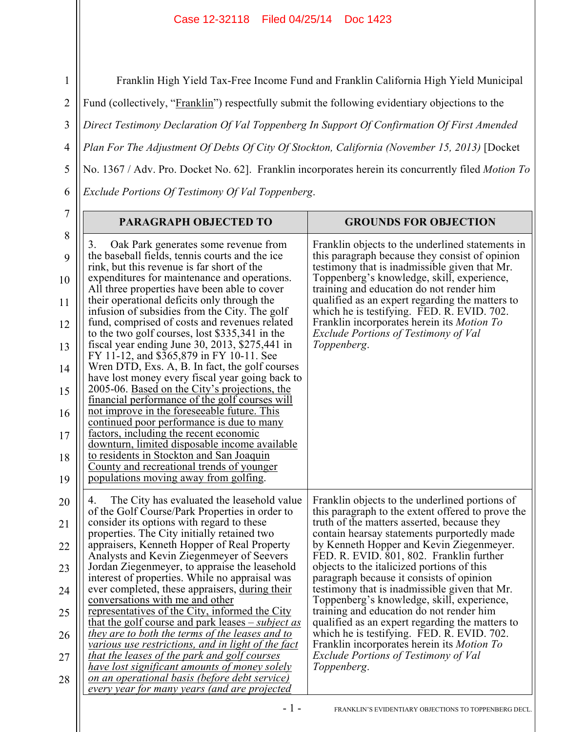## Case 12-32118 Filed 04/25/14 Doc 1423

3 4 5 Franklin High Yield Tax-Free Income Fund and Franklin California High Yield Municipal Fund (collectively, "Franklin") respectfully submit the following evidentiary objections to the *Direct Testimony Declaration Of Val Toppenberg In Support Of Confirmation Of First Amended Plan For The Adjustment Of Debts Of City Of Stockton, California (November 15, 2013)* [Docket No. 1367 / Adv. Pro. Docket No. 62]. Franklin incorporates herein its concurrently filed *Motion To Exclude Portions Of Testimony Of Val Toppenberg*.

| 7                                                                  | PARAGRAPH OBJECTED TO                                                                                                                                                                                                                                                                                                                                                                                                                                                                                                                                                                                                                                                                                                                                                                                                                                                                                                                                                                                                                                                         | <b>GROUNDS FOR OBJECTION</b>                                                                                                                                                                                                                                                                                                                                                                                                                                                                                                                                                                                                                                                                                                                                                                        |
|--------------------------------------------------------------------|-------------------------------------------------------------------------------------------------------------------------------------------------------------------------------------------------------------------------------------------------------------------------------------------------------------------------------------------------------------------------------------------------------------------------------------------------------------------------------------------------------------------------------------------------------------------------------------------------------------------------------------------------------------------------------------------------------------------------------------------------------------------------------------------------------------------------------------------------------------------------------------------------------------------------------------------------------------------------------------------------------------------------------------------------------------------------------|-----------------------------------------------------------------------------------------------------------------------------------------------------------------------------------------------------------------------------------------------------------------------------------------------------------------------------------------------------------------------------------------------------------------------------------------------------------------------------------------------------------------------------------------------------------------------------------------------------------------------------------------------------------------------------------------------------------------------------------------------------------------------------------------------------|
| 8<br>9<br>10<br>11<br>12<br>13<br>14<br>15<br>16<br>17<br>18<br>19 | Oak Park generates some revenue from<br>3.<br>the baseball fields, tennis courts and the ice<br>rink, but this revenue is far short of the<br>expenditures for maintenance and operations.<br>All three properties have been able to cover<br>their operational deficits only through the<br>infusion of subsidies from the City. The golf<br>fund, comprised of costs and revenues related<br>to the two golf courses, lost \$335,341 in the<br>fiscal year ending June 30, 2013, $$275,441$ in<br>FY 11-12, and \$365,879 in FY 10-11. See<br>Wren DTD, Exs. A, B. In fact, the golf courses<br>have lost money every fiscal year going back to<br>2005-06. Based on the City's projections, the<br>financial performance of the golf courses will<br>not improve in the foreseeable future. This<br>continued poor performance is due to many<br>factors, including the recent economic<br>downturn, limited disposable income available<br>to residents in Stockton and San Joaquin<br>County and recreational trends of younger<br>populations moving away from golfing. | Franklin objects to the underlined statements in<br>this paragraph because they consist of opinion<br>testimony that is inadmissible given that Mr.<br>Toppenberg's knowledge, skill, experience,<br>training and education do not render him<br>qualified as an expert regarding the matters to<br>which he is testifying. FED. R. EVID. 702.<br>Franklin incorporates herein its <i>Motion To</i><br>Exclude Portions of Testimony of Val<br>Toppenberg.                                                                                                                                                                                                                                                                                                                                          |
| 20<br>21<br>22<br>23<br>24<br>25<br>26<br>27<br>28                 | The City has evaluated the leasehold value<br>4.<br>of the Golf Course/Park Properties in order to<br>consider its options with regard to these<br>properties. The City initially retained two<br>appraisers, Kenneth Hopper of Real Property<br>Analysts and Kevin Ziegenmeyer of Seevers<br>Jordan Ziegenmeyer, to appraise the leasehold<br>interest of properties. While no appraisal was<br>ever completed, these appraisers, during their<br>conversations with me and other<br>representatives of the City, informed the City<br>that the golf course and park leases $-subject$ as<br>they are to both the terms of the leases and to<br>various use restrictions, and in light of the fact<br>that the leases of the park and golf courses<br>have lost significant amounts of money solely<br>on an operational basis (before debt service)<br>every year for many years (and are projected<br>$-1-$                                                                                                                                                                | Franklin objects to the underlined portions of<br>this paragraph to the extent offered to prove the<br>truth of the matters asserted, because they<br>contain hearsay statements purportedly made<br>by Kenneth Hopper and Kevin Ziegenmeyer.<br>FED. R. EVID. 801, 802. Franklin further<br>objects to the italicized portions of this<br>paragraph because it consists of opinion<br>testimony that is inadmissible given that Mr.<br>Toppenberg's knowledge, skill, experience,<br>training and education do not render him<br>qualified as an expert regarding the matters to<br>which he is testifying. FED. R. EVID. 702.<br>Franklin incorporates herein its Motion To<br><b>Exclude Portions of Testimony of Val</b><br>Toppenberg.<br>FRANKLIN'S EVIDENTIARY OBJECTIONS TO TOPPENBERG DECL |

1

6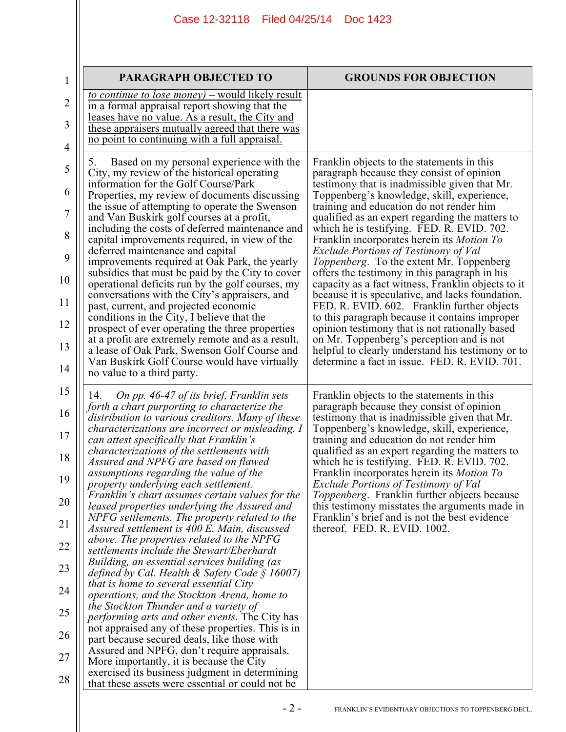## Case 12-32118 Filed 04/25/14 Doc 1423

| $\mathbf 1$    | PARAGRAPH OBJECTED TO                                                                                                                                 | <b>GROUNDS FOR OBJECTION</b>                                                                                                                    |
|----------------|-------------------------------------------------------------------------------------------------------------------------------------------------------|-------------------------------------------------------------------------------------------------------------------------------------------------|
| $\overline{2}$ | <u>to continue to lose money) – would likely result</u><br>in a formal appraisal report showing that the                                              |                                                                                                                                                 |
| 3              | leases have no value. As a result, the City and<br>these appraisers mutually agreed that there was<br>no point to continuing with a full appraisal.   |                                                                                                                                                 |
| 4              |                                                                                                                                                       |                                                                                                                                                 |
| 5              | Based on my personal experience with the<br>5.<br>City, my review of the historical operating<br>information for the Golf Course/Park                 | Franklin objects to the statements in this<br>paragraph because they consist of opinion<br>testimony that is inadmissible given that Mr.        |
| 6              | Properties, my review of documents discussing<br>the issue of attempting to operate the Swenson                                                       | Toppenberg's knowledge, skill, experience,<br>training and education do not render him                                                          |
| $\overline{7}$ | and Van Buskirk golf courses at a profit,<br>including the costs of deferred maintenance and                                                          | qualified as an expert regarding the matters to<br>which he is testifying. FED. R. EVID. 702.                                                   |
| 8<br>9         | capital improvements required, in view of the<br>deferred maintenance and capital                                                                     | Franklin incorporates herein its Motion To<br>Exclude Portions of Testimony of Val                                                              |
| 10             | improvements required at Oak Park, the yearly<br>subsidies that must be paid by the City to cover<br>operational deficits run by the golf courses, my | Toppenberg. To the extent Mr. Toppenberg<br>offers the testimony in this paragraph in his<br>capacity as a fact witness, Franklin objects to it |
| 11             | conversations with the City's appraisers, and<br>past, current, and projected economic                                                                | because it is speculative, and lacks foundation.<br>FED. R. EVID. 602. Franklin further objects                                                 |
| 12             | conditions in the City, I believe that the<br>prospect of ever operating the three properties                                                         | to this paragraph because it contains improper<br>opinion testimony that is not rationally based                                                |
| 13             | at a profit are extremely remote and as a result,<br>a lease of Oak Park, Swenson Golf Course and                                                     | on Mr. Toppenberg's perception and is not<br>helpful to clearly understand his testimony or to                                                  |
| 14             | Van Buskirk Golf Course would have virtually<br>no value to a third party.                                                                            | determine a fact in issue. FED. R. EVID. 701.                                                                                                   |
| 15             | On pp. 46-47 of its brief, Franklin sets<br>14.<br>forth a chart purporting to characterize the                                                       | Franklin objects to the statements in this<br>paragraph because they consist of opinion                                                         |
| 16             | distribution to various creditors. Many of these<br>characterizations are incorrect or misleading. I                                                  | testimony that is inadmissible given that Mr.<br>Toppenberg's knowledge, skill, experience,                                                     |
| 17<br>18       | can attest specifically that Franklin's<br><i>characterizations of the settlements with</i>                                                           | training and education do not render him<br>qualified as an expert regarding the matters to                                                     |
| 19             | Assured and NPFG are based on flawed<br>assumptions regarding the value of the                                                                        | which he is testifying. FED. R. EVID. 702.<br>Franklin incorporates herein its Motion To                                                        |
| 20             | property underlying each settlement.<br>Franklin's chart assumes certain values for the<br>leased properties underlying the Assured and               | Exclude Portions of Testimony of Val<br><i>Toppenberg.</i> Franklin further objects because<br>this testimony misstates the arguments made in   |
| 21             | NPFG settlements. The property related to the<br>Assured settlement is 400 E. Main, discussed                                                         | Franklin's brief and is not the best evidence<br>thereof. FED. R. EVID. 1002.                                                                   |
| 22             | above. The properties related to the NPFG<br>settlements include the Stewart/Eberhardt                                                                |                                                                                                                                                 |
| 23             | Building, an essential services building (as<br>defined by Cal. Health & Safety Code $\S$ 16007)                                                      |                                                                                                                                                 |
| 24             | that is home to several essential City<br><i>operations, and the Stockton Arena, home to</i><br>the Stockton Thunder and a variety of                 |                                                                                                                                                 |
| 25             | <i>performing arts and other events.</i> The City has<br>not appraised any of these properties. This is in                                            |                                                                                                                                                 |
| 26             | part because secured deals, like those with<br>Assured and NPFG, don't require appraisals.                                                            |                                                                                                                                                 |
| 27             | More importantly, it is because the City<br>exercised its business judgment in determining                                                            |                                                                                                                                                 |
| 28             | that these assets were essential or could not be.                                                                                                     |                                                                                                                                                 |